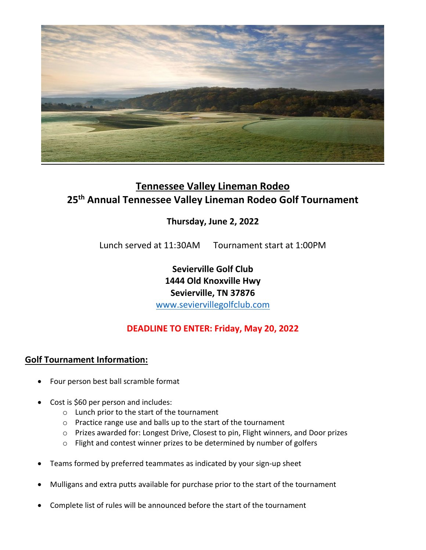

# **Tennessee Valley Lineman Rodeo 25th Annual Tennessee Valley Lineman Rodeo Golf Tournament**

## **Thursday, June 2, 2022**

Lunch served at 11:30AM Tournament start at 1:00PM

**Sevierville Golf Club 1444 Old Knoxville Hwy Sevierville, TN 37876** [www.seviervillegolfclub.com](http://www.seviervillegolfclub.com/)

### **DEADLINE TO ENTER: Friday, May 20, 2022**

#### **Golf Tournament Information:**

- Four person best ball scramble format
- Cost is \$60 per person and includes:
	- o Lunch prior to the start of the tournament
	- o Practice range use and balls up to the start of the tournament
	- o Prizes awarded for: Longest Drive, Closest to pin, Flight winners, and Door prizes
	- o Flight and contest winner prizes to be determined by number of golfers
- Teams formed by preferred teammates as indicated by your sign-up sheet
- Mulligans and extra putts available for purchase prior to the start of the tournament
- Complete list of rules will be announced before the start of the tournament